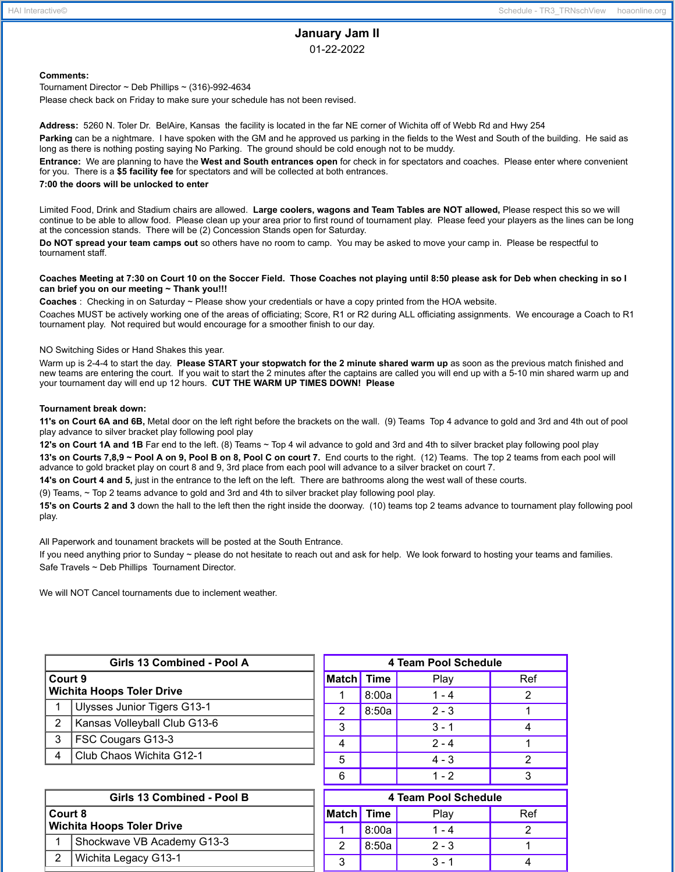# **January Jam II**

01-22-2022

## **Comments:**

Tournament Director ~ Deb Phillips ~ (316)-992-4634 Please check back on Friday to make sure your schedule has not been revised.

**Address:** 5260 N. Toler Dr. BelAire, Kansas the facility is located in the far NE corner of Wichita off of Webb Rd and Hwy 254

**Parking** can be a nightmare. I have spoken with the GM and he approved us parking in the fields to the West and South of the building. He said as long as there is nothing posting saying No Parking. The ground should be cold enough not to be muddy.

**Entrance:** We are planning to have the **West and South entrances open** for check in for spectators and coaches. Please enter where convenient for you. There is a **\$5 facility fee** for spectators and will be collected at both entrances.

#### **7:00 the doors will be unlocked to enter**

Limited Food, Drink and Stadium chairs are allowed. **Large coolers, wagons and Team Tables are NOT allowed,** Please respect this so we will continue to be able to allow food. Please clean up your area prior to first round of tournament play. Please feed your players as the lines can be long at the concession stands. There will be (2) Concession Stands open for Saturday.

**Do NOT spread your team camps out** so others have no room to camp. You may be asked to move your camp in. Please be respectful to tournament staff.

### Coaches Meeting at 7:30 on Court 10 on the Soccer Field. Those Coaches not playing until 8:50 please ask for Deb when checking in so I **can brief you on our meeting ~ Thank you!!!**

**Coaches** : Checking in on Saturday ~ Please show your credentials or have a copy printed from the HOA website.

Coaches MUST be actively working one of the areas of officiating; Score, R1 or R2 during ALL officiating assignments. We encourage a Coach to R1 tournament play. Not required but would encourage for a smoother finish to our day.

NO Switching Sides or Hand Shakes this year.

Warm up is 2-4-4 to start the day. **Please START your stopwatch for the 2 minute shared warm up** as soon as the previous match finished and new teams are entering the court. If you wait to start the 2 minutes after the captains are called you will end up with a 5-10 min shared warm up and your tournament day will end up 12 hours. **CUT THE WARM UP TIMES DOWN! Please**

#### **Tournament break down:**

**11's on Court 6A and 6B,** Metal door on the left right before the brackets on the wall. (9) Teams Top 4 advance to gold and 3rd and 4th out of pool play advance to silver bracket play following pool play

**12's on Court 1A and 1B** Far end to the left. (8) Teams ~ Top 4 wil advance to gold and 3rd and 4th to silver bracket play following pool play

13's on Courts 7,8,9 ~ Pool A on 9, Pool B on 8, Pool C on court 7. End courts to the right. (12) Teams. The top 2 teams from each pool will advance to gold bracket play on court 8 and 9, 3rd place from each pool will advance to a silver bracket on court 7.

**14's on Court 4 and 5,** just in the entrance to the left on the left. There are bathrooms along the west wall of these courts.

(9) Teams, ~ Top 2 teams advance to gold and 3rd and 4th to silver bracket play following pool play.

**15's on Courts 2 and 3** down the hall to the left then the right inside the doorway. (10) teams top 2 teams advance to tournament play following pool play.

All Paperwork and tounament brackets will be posted at the South Entrance.

If you need anything prior to Sunday ~ please do not hesitate to reach out and ask for help. We look forward to hosting your teams and families. Safe Travels ~ Deb Phillips Tournament Director.

We will NOT Cancel tournaments due to inclement weather.

| Girls 13 Combined - Pool A       |                              |              | 4 Team Pool Schedule |         |         |   |  |  |
|----------------------------------|------------------------------|--------------|----------------------|---------|---------|---|--|--|
| Court 9                          |                              | <b>Match</b> | l Time               | Play    | Ref     |   |  |  |
| <b>Wichita Hoops Toler Drive</b> |                              |              | 8:00a                | $1 - 4$ | 2       |   |  |  |
|                                  | Ulysses Junior Tigers G13-1  |              | $\overline{2}$       | 8:50a   | $2 - 3$ |   |  |  |
| 2                                | Kansas Volleyball Club G13-6 |              | 3                    |         | $3 - 1$ | 4 |  |  |
| 3                                | FSC Cougars G13-3            |              | 4                    |         | $2 - 4$ |   |  |  |
| 4                                | Club Chaos Wichita G12-1     |              | 5                    |         | $4 - 3$ | 2 |  |  |
|                                  |                              |              | 6                    |         | $1 - 2$ | 3 |  |  |
| Girls 13 Combined - Pool B       |                              |              | 4 Team Pool Schedule |         |         |   |  |  |
| Court 8                          |                              | <b>Match</b> | ∣ Time               | Play    | Ref     |   |  |  |
| <b>Wichita Hoops Toler Drive</b> |                              |              | 8:00a                | $1 - 4$ | 2       |   |  |  |
| 1                                | Shockwave VB Academy G13-3   |              | $\overline{2}$       | 8:50a   | $2 - 3$ |   |  |  |
| $\overline{2}$                   | Wichita Legacy G13-1         |              | J.                   |         | $3 - 1$ | Λ |  |  |

3 | 3-1 | 4